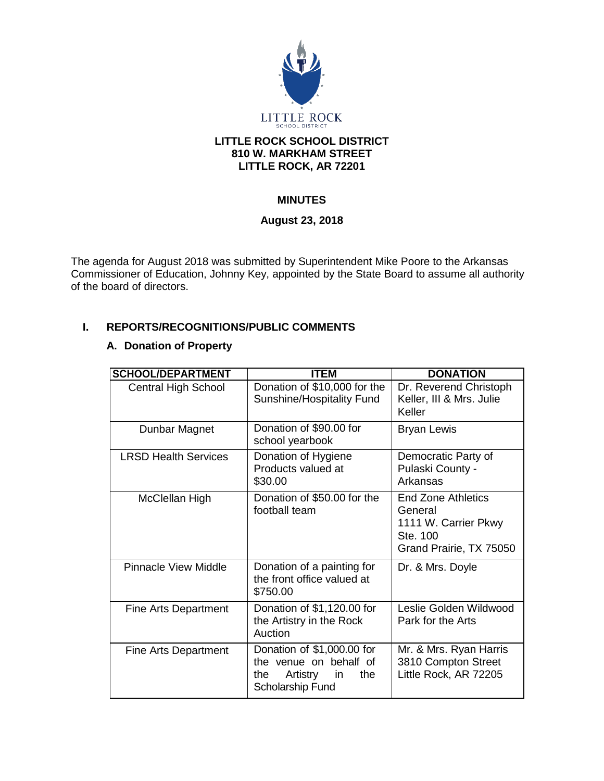

# **LITTLE ROCK SCHOOL DISTRICT 810 W. MARKHAM STREET LITTLE ROCK, AR 72201**

# **MINUTES**

# **August 23, 2018**

The agenda for August 2018 was submitted by Superintendent Mike Poore to the Arkansas Commissioner of Education, Johnny Key, appointed by the State Board to assume all authority of the board of directors.

# **I. REPORTS/RECOGNITIONS/PUBLIC COMMENTS**

# **A. Donation of Property**

| <b>SCHOOL/DEPARTMENT</b>    | <b>ITEM</b>                                                                                              | <b>DONATION</b>                                                                              |
|-----------------------------|----------------------------------------------------------------------------------------------------------|----------------------------------------------------------------------------------------------|
| <b>Central High School</b>  | Donation of \$10,000 for the<br>Sunshine/Hospitality Fund                                                | Dr. Reverend Christoph<br>Keller, III & Mrs. Julie<br>Keller                                 |
| Dunbar Magnet               | Donation of \$90.00 for<br>school yearbook                                                               | <b>Bryan Lewis</b>                                                                           |
| <b>LRSD Health Services</b> | Donation of Hygiene<br>Products valued at<br>\$30.00                                                     | Democratic Party of<br>Pulaski County -<br>Arkansas                                          |
| McClellan High              | Donation of \$50.00 for the<br>football team                                                             | End Zone Athletics<br>General<br>1111 W. Carrier Pkwy<br>Ste. 100<br>Grand Prairie, TX 75050 |
| <b>Pinnacle View Middle</b> | Donation of a painting for<br>the front office valued at<br>\$750.00                                     | Dr. & Mrs. Doyle                                                                             |
| <b>Fine Arts Department</b> | Donation of \$1,120.00 for<br>the Artistry in the Rock<br>Auction                                        | Leslie Golden Wildwood<br>Park for the Arts                                                  |
| Fine Arts Department        | Donation of \$1,000.00 for<br>the venue on behalf of<br>Artistry<br>the<br>the<br>in<br>Scholarship Fund | Mr. & Mrs. Ryan Harris<br>3810 Compton Street<br>Little Rock, AR 72205                       |